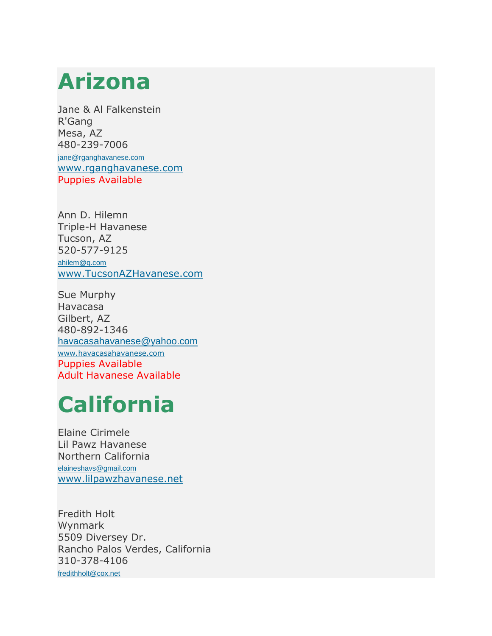#### **Arizona**

Jane & Al Falkenstein R'Gang Mesa, AZ 480-239-7006 [jane@rganghavanese.com](mailto:jane@rganghavanese.com) [www.rganghavanese.com](http://www.rganghavanese.com/) Puppies Available

Ann D. Hilemn Triple-H Havanese Tucson, AZ 520-577-9125 [ahilem@q.com](mailto:ahilem@q.com)

[www.TucsonAZHavanese.com](http://www.tucsonazhavanese.com/)

Sue Murphy Havacasa Gilbert, AZ 480-892-1346 [havacasahavanese@yahoo.com](mailto:havacasahavanese@yahoo.com) [www.havacasahavanese.com](http://www.havacasahavanese.com/) Puppies Available Adult Havanese Available

## **California**

Elaine Cirimele Lil Pawz Havanese Northern California [elaineshavs@gmail.com](mailto:elaineshavs@gmail.com) [www.lilpawzhavanese.net](http://www.lilpawzhavanese.net/)

Fredith Holt Wynmark 5509 Diversey Dr. Rancho Palos Verdes, California 310-378-4106 [fredithholt@cox.net](mailto:fredithholt@cox.net)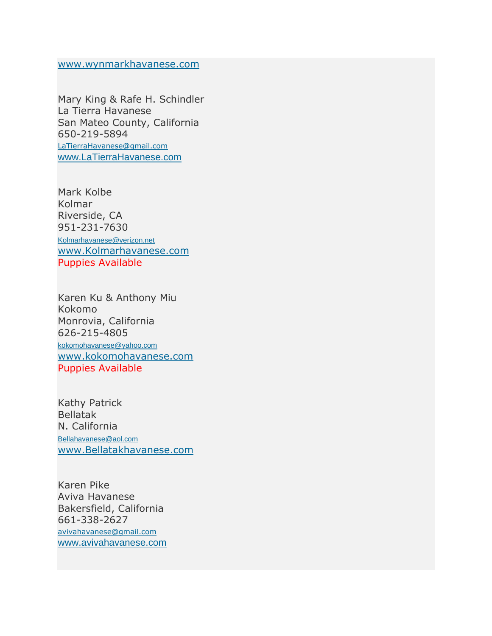[www.wynmarkhavanese.com](http://www.wynmarkhavanese.com/)

Mary King & Rafe H. Schindler La Tierra Havanese San Mateo County, California 650-219-5894 [LaTierraHavanese@gmail.com](mailto:LaTierraHavanese@gmail.com) [www.LaTierraHavanese.com](http://www.latierrahavanese.com/)

Mark Kolbe Kolmar Riverside, CA 951-231-7630 [Kolmarhavanese@verizon.net](mailto:Kolmarhavanese@verizon.net) [www.Kolmarhavanese.com](http://www.kolmarhavanese.com/) Puppies Available

Karen Ku & Anthony Miu Kokomo Monrovia, California 626-215-4805 [kokomohavanese@yahoo.com](mailto:kokomohavanese@yahoo.com) [www.kokomohavanese.com](http://www.kokomohavanese.com/) Puppies Available

Kathy Patrick Bellatak N. California [Bellahavanese@aol.com](mailto:Bellahavanese@aol.com) [www.Bellatakhavanese.com](http://www.bellahavanese.com/)

Karen Pike Aviva Havanese Bakersfield, California 661-338-2627 [avivahavanese@gmail.com](mailto:avivahavanese@gmail.com) [www.avivahavanese.com](http://www.avivahavanese.com/)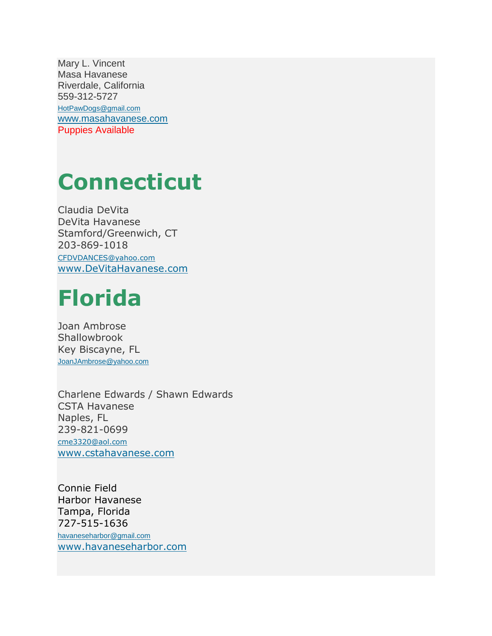Mary L. Vincent Masa Havanese Riverdale, California 559-312-5727 [HotPawDogs@gmail.com](mailto:HotPawDogs@gmail.com) [www.masahavanese.com](http://www.masahavanese.com/) Puppies Available

#### **Connecticut**

Claudia DeVita DeVita Havanese Stamford/Greenwich, CT 203-869-1018 [CFDVDANCES@yahoo.com](mailto:CFDVDANCES@yahoo.com) [www.DeVitaHavanese.com](http://www.devitahavanese.com/)

#### **Florida**

Joan Ambrose **Shallowbrook** Key Biscayne, FL [JoanJAmbrose@yahoo.com](mailto:JoanJAmbrose@yahoo.com)

Charlene Edwards / Shawn Edwards CSTA Havanese Naples, FL 239-821-0699 [cme3320@aol.com](mailto:cme3320@aol.com) [www.cstahavanese.com](http://www.cstahavanese.com/)

Connie Field Harbor Havanese Tampa, Florida 727-515-1636 [havaneseharbor@gmail.com](mailto:havaneseharbor@gmail.com) [www.havaneseharbor.com](http://www.havaneseharbor.com/)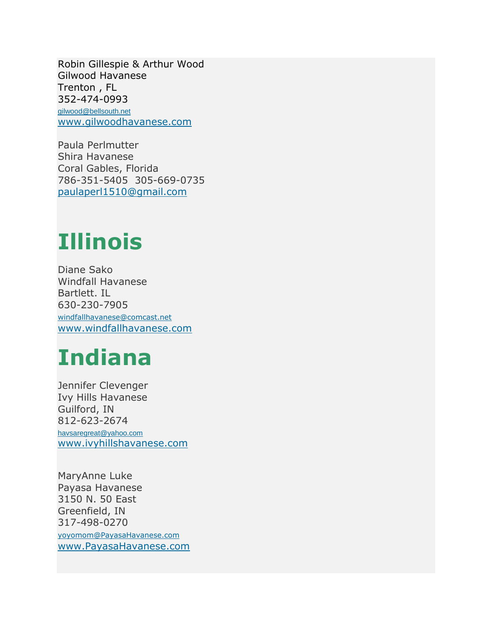Robin Gillespie & Arthur Wood Gilwood Havanese Trenton , FL 352-474-0993 [gilwood@bellsouth.net](mailto:gilwood@bellsouth.net) [www.gilwoodhavanese.com](http://www.gilwoodhavanese.com/)

Paula Perlmutter Shira Havanese Coral Gables, Florida 786-351-5405 305-669-0735 [paulaperl1510@gmail.com](mailto:paulaperl1510@gmail.com)

#### **Illinois**

Diane Sako Windfall Havanese Bartlett. IL 630-230-7905 [windfallhavanese@comcast.net](mailto:windfallhavanese@comcast.net) [www.windfallhavanese.com](http://www.windfallhavanese.com/)

## **Indiana**

Jennifer Clevenger Ivy Hills Havanese Guilford, IN 812-623-2674 [havsaregreat@yahoo.com](mailto:havsaregreat@yahoo.com) [www.ivyhillshavanese.com](http://www.ivyhillshavanese.com/)

MaryAnne Luke Payasa Havanese 3150 N. 50 East Greenfield, IN 317-498-0270 [yoyomom@PayasaHavanese.com](mailto:yoyomom@PayasaHavanese.com) [www.PayasaHavanese.com](http://www.payasahavanese.com/)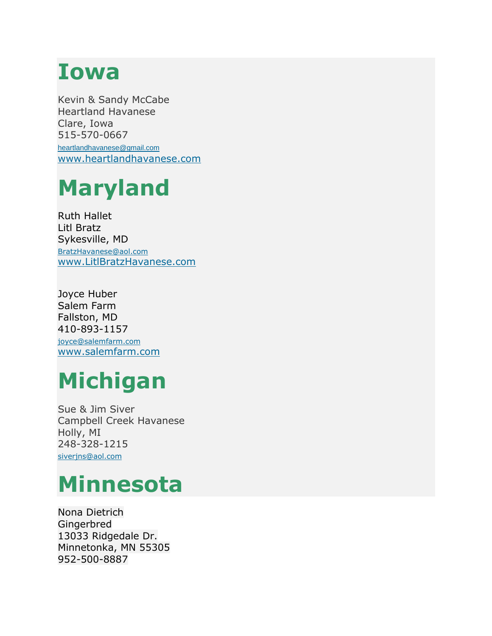#### **Iowa**

Kevin & Sandy McCabe Heartland Havanese Clare, Iowa 515-570-0667 [heartlandhavanese@gmail.com](mailto:heartlandhavanese@gmail.com) [www.heartlandhavanese.com](http://www.heartlandhavanese.com/)

# **Maryland**

Ruth Hallet Litl Bratz Sykesville, MD [BratzHavanese@aol.com](mailto:BratzHavanese@aol.com) [www.LitlBratzHavanese.com](http://www.litlbratzhavanese.com/)

Joyce Huber Salem Farm Fallston, MD 410-893-1157 [joyce@salemfarm.com](mailto:joyce@salemfarm.com) [www.salemfarm.com](http://www.salemfarm.com/)

## **Michigan**

Sue & Jim Siver Campbell Creek Havanese Holly, MI 248-328-1215 siverins@aol.com

#### **Minnesota**

Nona Dietrich Gingerbred 13033 Ridgedale Dr. Minnetonka, MN 55305 952-500-8887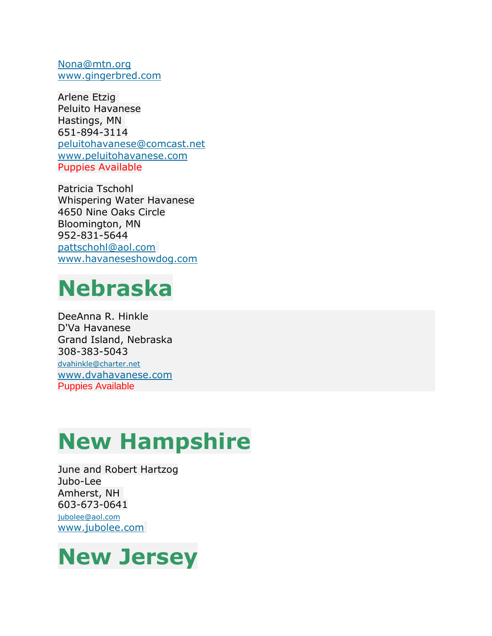[Nona@mtn.org](mailto:Nona@mtn.org) [www.gingerbred.com](http://www.gingerbred.com/)

Arlene Etzig Peluito Havanese Hastings, MN 651-894-3114 [peluitohavanese@comcast.net](mailto:peluitohavanese@comcast.net) [www.peluitohavanese.com](http://www.peluitohavanese.com/) Puppies Available

Patricia Tschohl Whispering Water Havanese 4650 Nine Oaks Circle Bloomington, MN 952-831-5644 [pattschohl@aol.com](mailto:pattschohl@aol.com) [www.havaneseshowdog.com](http://www.havaneseshowdog.com/)

#### **Nebraska**

DeeAnna R. Hinkle D'Va Havanese Grand Island, Nebraska 308-383-5043

[dvahinkle@charter.net](mailto:dvahinkle@charter.net) [www.dvahavanese.com](http://www.dvahavanese.com/) Puppies Available

## **New Hampshire**

June and Robert Hartzog Jubo-Lee Amherst, NH 603-673-0641 [jubolee@aol.com](mailto:jubolee@aol.com) [www.jubolee.com](http://www.jubolee.com/)

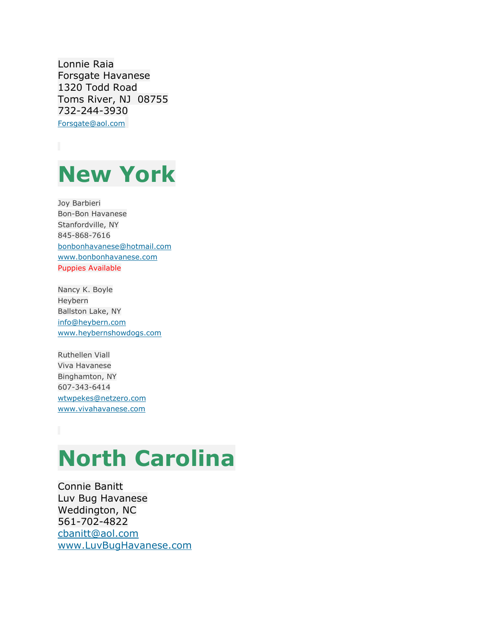Lonnie Raia Forsgate Havanese 1320 Todd Road Toms River, NJ 08755 732-244-3930 [Forsgate@aol.com](mailto:Forsgate@aol.com)



Joy Barbieri Bon-Bon Havanese Stanfordville, NY 845-868-7616 [bonbonhavanese@hotmail.com](mailto:bonbonhavanese@hotmail.com) [www.bonbonhavanese.com](http://www.bonbonhavanese.com/) Puppies Available

Nancy K. Boyle Heybern Ballston Lake, NY [info@heybern.com](mailto:info@heybern.com) [www.heybernshowdogs.com](http://www.heybernshowdogs.com/)

Ruthellen Viall Viva Havanese Binghamton, NY 607-343-6414 [wtwpekes@netzero.com](mailto:wtwpekes@netzero.com) [www.vivahavanese.com](http://www.vivahavanese.com/)

# **North Carolina**

Connie Banitt Luv Bug Havanese Weddington, NC 561-702-4822 [cbanitt@aol.com](mailto:cbanitt@aol.com) [www.LuvBugHavanese.com](http://www.luvbughavanese.com/)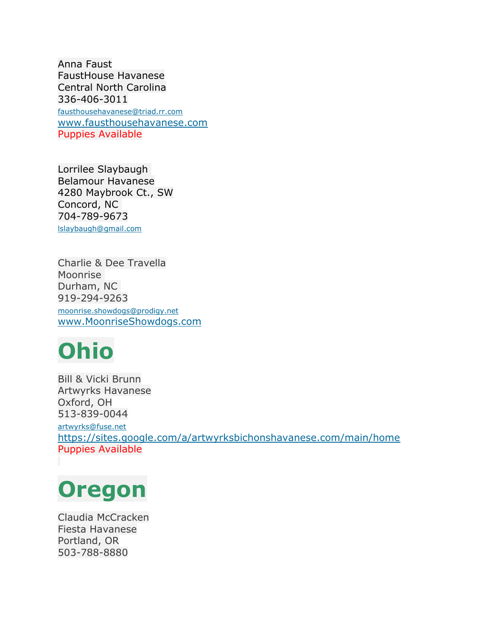Anna Faust FaustHouse Havanese Central North Carolina 336-406-3011 [fausthousehavanese@triad.rr.com](mailto:fausthousehavanese@triad.rr.com) [www.fausthousehavanese.com](http://www.fausthousehavanese.com/) Puppies Available

Lorrilee Slaybaugh Belamour Havanese 4280 Maybrook Ct., SW Concord, NC 704-789-9673 [lslaybaugh@gmail.com](mailto:lslaybaugh@gmail.com)

Charlie & Dee Travella Moonrise Durham, NC 919-294-9263 [moonrise.showdogs@prodigy.net](mailto:moonrise.showdogs@prodigy.net) [www.MoonriseShowdogs.com](http://www.moonriseshowdogs.com/)

## **Ohio**

Bill & Vicki Brunn Artwyrks Havanese Oxford, OH 513-839-0044

[artwyrks@fuse.net](mailto:artwyrks@fuse.net) <https://sites.google.com/a/artwyrksbichonshavanese.com/main/home> Puppies Available

## **Oregon**

Claudia McCracken Fiesta Havanese Portland, OR 503-788-8880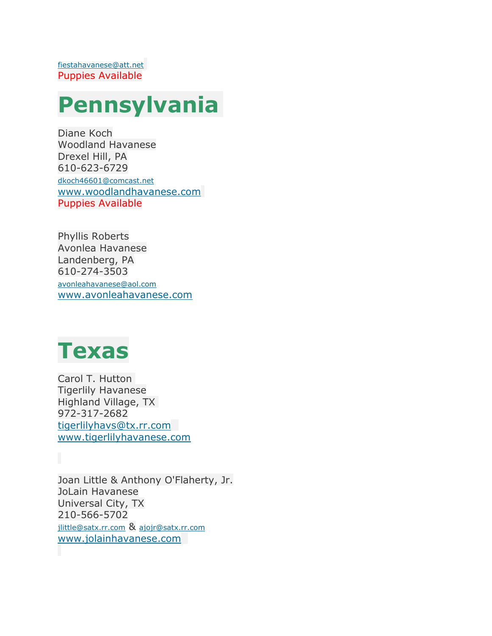#### **Pennsylvania**

Diane Koch Woodland Havanese Drexel Hill, PA 610-623-6729 [dkoch46601@comcast.net](mailto:dkoch46601@comcast.net) [www.woodlandhavanese.com](http://www.woodlandhavanese.com/) Puppies Available

Phyllis Roberts Avonlea Havanese Landenberg, PA 610-274-3503 [avonleahavanese@aol.com](mailto:avonleahavanese@aol.com) [www.avonleahavanese.com](http://www.avonleahavanese.com/)

#### **Texas**

Carol T. Hutton Tigerlily Havanese Highland Village, TX 972-317-2682 [tigerlilyhavs@tx.rr.com](mailto:tigerlilyhavs@tx.rr.com) [www.tigerlilyhavanese.com](http://www.tigerlilyhavanese.com/)

Joan Little & Anthony O'Flaherty, Jr. JoLain Havanese Universal City, TX 210-566-5702 [jlittle@satx.rr.com](mailto:jlittle@satx.rr.com) & [ajojr@satx.rr.com](mailto:ajojr@satx.rr.com) [www.jolainhavanese.com](http://www.jolainhavanese.com/)